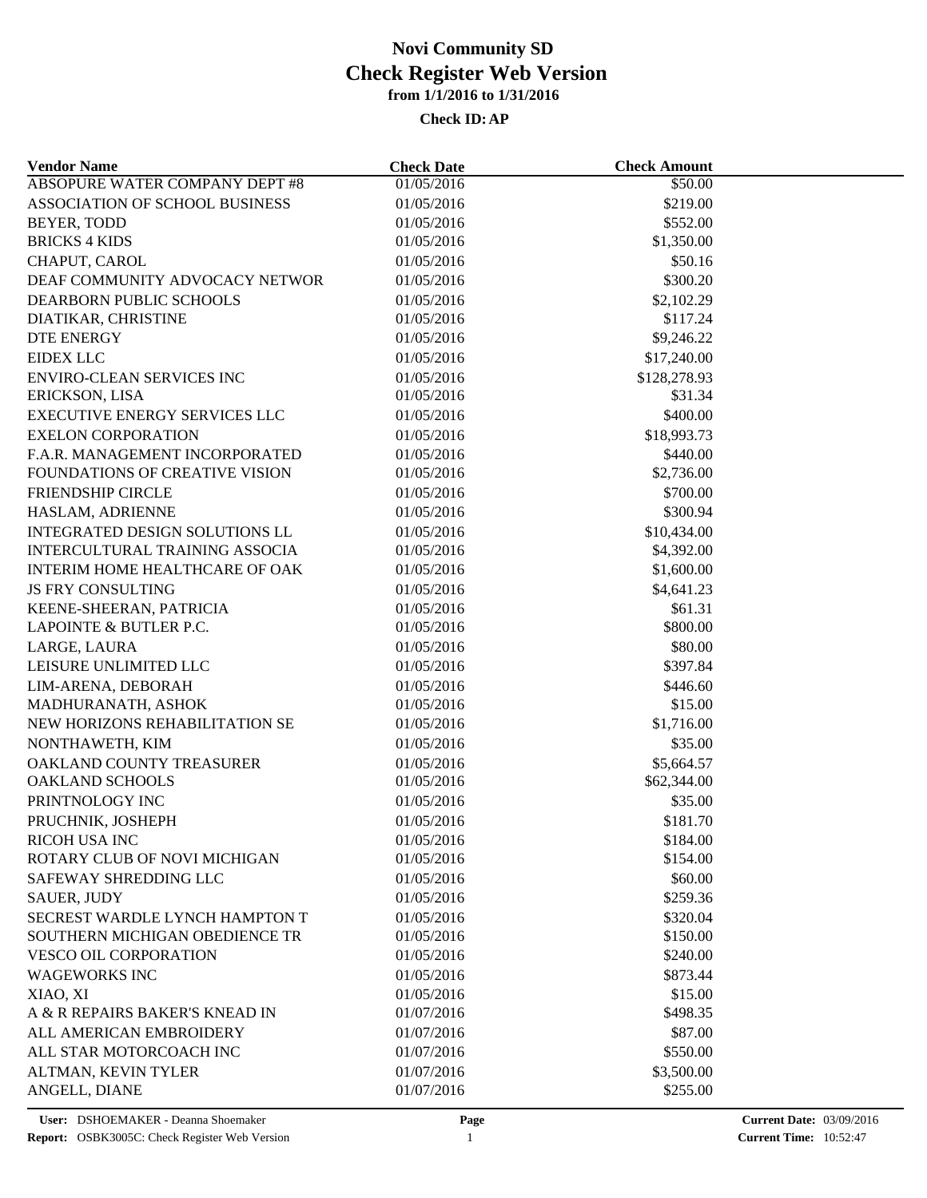| <b>Vendor Name</b>                    | <b>Check Date</b> | <b>Check Amount</b>    |  |
|---------------------------------------|-------------------|------------------------|--|
| <b>ABSOPURE WATER COMPANY DEPT #8</b> | 01/05/2016        | \$50.00                |  |
| ASSOCIATION OF SCHOOL BUSINESS        | 01/05/2016        | \$219.00               |  |
| BEYER, TODD                           | 01/05/2016        | \$552.00               |  |
| <b>BRICKS 4 KIDS</b>                  | 01/05/2016        | \$1,350.00             |  |
| CHAPUT, CAROL                         | 01/05/2016        | \$50.16                |  |
| DEAF COMMUNITY ADVOCACY NETWOR        | 01/05/2016        | \$300.20               |  |
| DEARBORN PUBLIC SCHOOLS               | 01/05/2016        | \$2,102.29             |  |
| DIATIKAR, CHRISTINE                   | 01/05/2016        | \$117.24               |  |
| <b>DTE ENERGY</b>                     | 01/05/2016        | \$9,246.22             |  |
| <b>EIDEX LLC</b>                      | 01/05/2016        | \$17,240.00            |  |
| <b>ENVIRO-CLEAN SERVICES INC</b>      | 01/05/2016        | \$128,278.93           |  |
| ERICKSON, LISA                        | 01/05/2016        | \$31.34                |  |
| <b>EXECUTIVE ENERGY SERVICES LLC</b>  | 01/05/2016        | \$400.00               |  |
| <b>EXELON CORPORATION</b>             | 01/05/2016        | \$18,993.73            |  |
| F.A.R. MANAGEMENT INCORPORATED        | 01/05/2016        | \$440.00               |  |
| FOUNDATIONS OF CREATIVE VISION        | 01/05/2016        | \$2,736.00             |  |
| FRIENDSHIP CIRCLE                     | 01/05/2016        | \$700.00               |  |
| HASLAM, ADRIENNE                      | 01/05/2016        | \$300.94               |  |
| INTEGRATED DESIGN SOLUTIONS LL        | 01/05/2016        | \$10,434.00            |  |
| INTERCULTURAL TRAINING ASSOCIA        | 01/05/2016        | \$4,392.00             |  |
| <b>INTERIM HOME HEALTHCARE OF OAK</b> | 01/05/2016        | \$1,600.00             |  |
| JS FRY CONSULTING                     | 01/05/2016        | \$4,641.23             |  |
| KEENE-SHEERAN, PATRICIA               | 01/05/2016        | \$61.31                |  |
| LAPOINTE & BUTLER P.C.                | 01/05/2016        | \$800.00               |  |
| LARGE, LAURA                          | 01/05/2016        | \$80.00                |  |
| LEISURE UNLIMITED LLC                 | 01/05/2016        | \$397.84               |  |
| LIM-ARENA, DEBORAH                    | 01/05/2016        | \$446.60               |  |
| MADHURANATH, ASHOK                    | 01/05/2016        | \$15.00                |  |
| NEW HORIZONS REHABILITATION SE        | 01/05/2016        | \$1,716.00             |  |
| NONTHAWETH, KIM                       | 01/05/2016        | \$35.00                |  |
| OAKLAND COUNTY TREASURER              | 01/05/2016        |                        |  |
| <b>OAKLAND SCHOOLS</b>                | 01/05/2016        | \$5,664.57             |  |
| PRINTNOLOGY INC                       |                   | \$62,344.00<br>\$35.00 |  |
|                                       | 01/05/2016        | \$181.70               |  |
| PRUCHNIK, JOSHEPH                     | 01/05/2016        |                        |  |
| RICOH USA INC                         | 01/05/2016        | \$184.00               |  |
| ROTARY CLUB OF NOVI MICHIGAN          | 01/05/2016        | \$154.00               |  |
| SAFEWAY SHREDDING LLC                 | 01/05/2016        | \$60.00                |  |
| <b>SAUER, JUDY</b>                    | 01/05/2016        | \$259.36               |  |
| SECREST WARDLE LYNCH HAMPTON T        | 01/05/2016        | \$320.04               |  |
| SOUTHERN MICHIGAN OBEDIENCE TR        | 01/05/2016        | \$150.00               |  |
| VESCO OIL CORPORATION                 | 01/05/2016        | \$240.00               |  |
| <b>WAGEWORKS INC</b>                  | 01/05/2016        | \$873.44               |  |
| XIAO, XI                              | 01/05/2016        | \$15.00                |  |
| A & R REPAIRS BAKER'S KNEAD IN        | 01/07/2016        | \$498.35               |  |
| ALL AMERICAN EMBROIDERY               | 01/07/2016        | \$87.00                |  |
| ALL STAR MOTORCOACH INC               | 01/07/2016        | \$550.00               |  |
| ALTMAN, KEVIN TYLER                   | 01/07/2016        | \$3,500.00             |  |
| ANGELL, DIANE                         | 01/07/2016        | \$255.00               |  |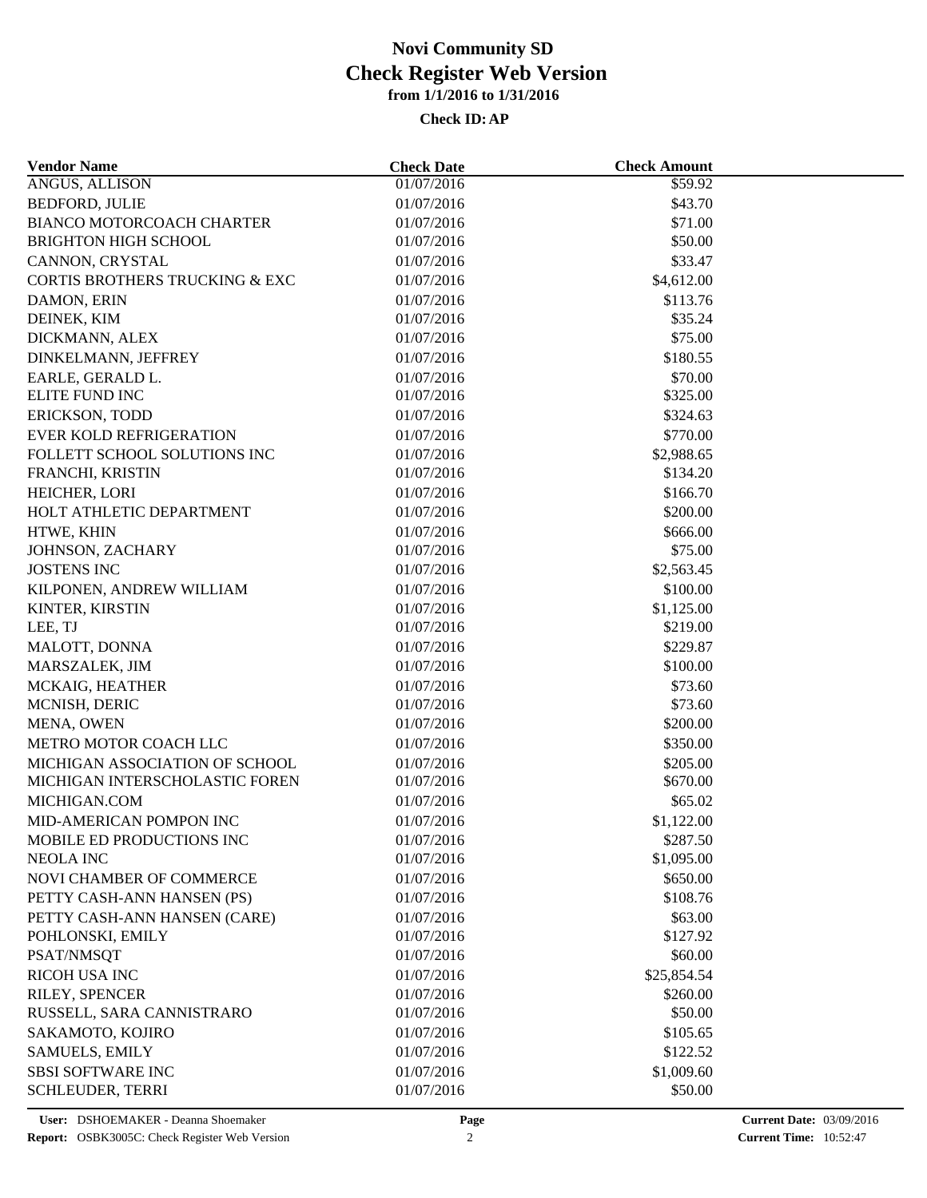| <b>Vendor Name</b>             | <b>Check Date</b> | <b>Check Amount</b> |  |
|--------------------------------|-------------------|---------------------|--|
| ANGUS, ALLISON                 | 01/07/2016        | \$59.92             |  |
| <b>BEDFORD, JULIE</b>          | 01/07/2016        | \$43.70             |  |
| BIANCO MOTORCOACH CHARTER      | 01/07/2016        | \$71.00             |  |
| <b>BRIGHTON HIGH SCHOOL</b>    | 01/07/2016        | \$50.00             |  |
| CANNON, CRYSTAL                | 01/07/2016        | \$33.47             |  |
| CORTIS BROTHERS TRUCKING & EXC | 01/07/2016        | \$4,612.00          |  |
| DAMON, ERIN                    | 01/07/2016        | \$113.76            |  |
| DEINEK, KIM                    | 01/07/2016        | \$35.24             |  |
| DICKMANN, ALEX                 | 01/07/2016        | \$75.00             |  |
| DINKELMANN, JEFFREY            | 01/07/2016        | \$180.55            |  |
| EARLE, GERALD L.               | 01/07/2016        | \$70.00             |  |
| ELITE FUND INC                 | 01/07/2016        | \$325.00            |  |
| <b>ERICKSON, TODD</b>          | 01/07/2016        | \$324.63            |  |
| <b>EVER KOLD REFRIGERATION</b> | 01/07/2016        | \$770.00            |  |
| FOLLETT SCHOOL SOLUTIONS INC   | 01/07/2016        | \$2,988.65          |  |
| FRANCHI, KRISTIN               | 01/07/2016        | \$134.20            |  |
| HEICHER, LORI                  | 01/07/2016        | \$166.70            |  |
| HOLT ATHLETIC DEPARTMENT       | 01/07/2016        | \$200.00            |  |
| HTWE, KHIN                     | 01/07/2016        | \$666.00            |  |
| JOHNSON, ZACHARY               | 01/07/2016        | \$75.00             |  |
| <b>JOSTENS INC</b>             | 01/07/2016        | \$2,563.45          |  |
| KILPONEN, ANDREW WILLIAM       | 01/07/2016        | \$100.00            |  |
| KINTER, KIRSTIN                | 01/07/2016        | \$1,125.00          |  |
| LEE, TJ                        | 01/07/2016        | \$219.00            |  |
| MALOTT, DONNA                  | 01/07/2016        | \$229.87            |  |
| MARSZALEK, JIM                 | 01/07/2016        | \$100.00            |  |
| MCKAIG, HEATHER                | 01/07/2016        | \$73.60             |  |
| MCNISH, DERIC                  | 01/07/2016        | \$73.60             |  |
| MENA, OWEN                     | 01/07/2016        | \$200.00            |  |
| METRO MOTOR COACH LLC          | 01/07/2016        | \$350.00            |  |
| MICHIGAN ASSOCIATION OF SCHOOL | 01/07/2016        | \$205.00            |  |
| MICHIGAN INTERSCHOLASTIC FOREN | 01/07/2016        | \$670.00            |  |
| MICHIGAN.COM                   | 01/07/2016        | \$65.02             |  |
| MID-AMERICAN POMPON INC        | 01/07/2016        | \$1,122.00          |  |
| MOBILE ED PRODUCTIONS INC      | 01/07/2016        | \$287.50            |  |
| NEOLA INC                      | 01/07/2016        | \$1,095.00          |  |
| NOVI CHAMBER OF COMMERCE       | 01/07/2016        | \$650.00            |  |
| PETTY CASH-ANN HANSEN (PS)     | 01/07/2016        | \$108.76            |  |
| PETTY CASH-ANN HANSEN (CARE)   | 01/07/2016        | \$63.00             |  |
| POHLONSKI, EMILY               | 01/07/2016        | \$127.92            |  |
| PSAT/NMSQT                     | 01/07/2016        | \$60.00             |  |
| <b>RICOH USA INC</b>           | 01/07/2016        | \$25,854.54         |  |
|                                |                   |                     |  |
| RILEY, SPENCER                 | 01/07/2016        | \$260.00<br>\$50.00 |  |
| RUSSELL, SARA CANNISTRARO      | 01/07/2016        |                     |  |
| SAKAMOTO, KOJIRO               | 01/07/2016        | \$105.65            |  |
| <b>SAMUELS, EMILY</b>          | 01/07/2016        | \$122.52            |  |
| <b>SBSI SOFTWARE INC</b>       | 01/07/2016        | \$1,009.60          |  |
| <b>SCHLEUDER, TERRI</b>        | 01/07/2016        | \$50.00             |  |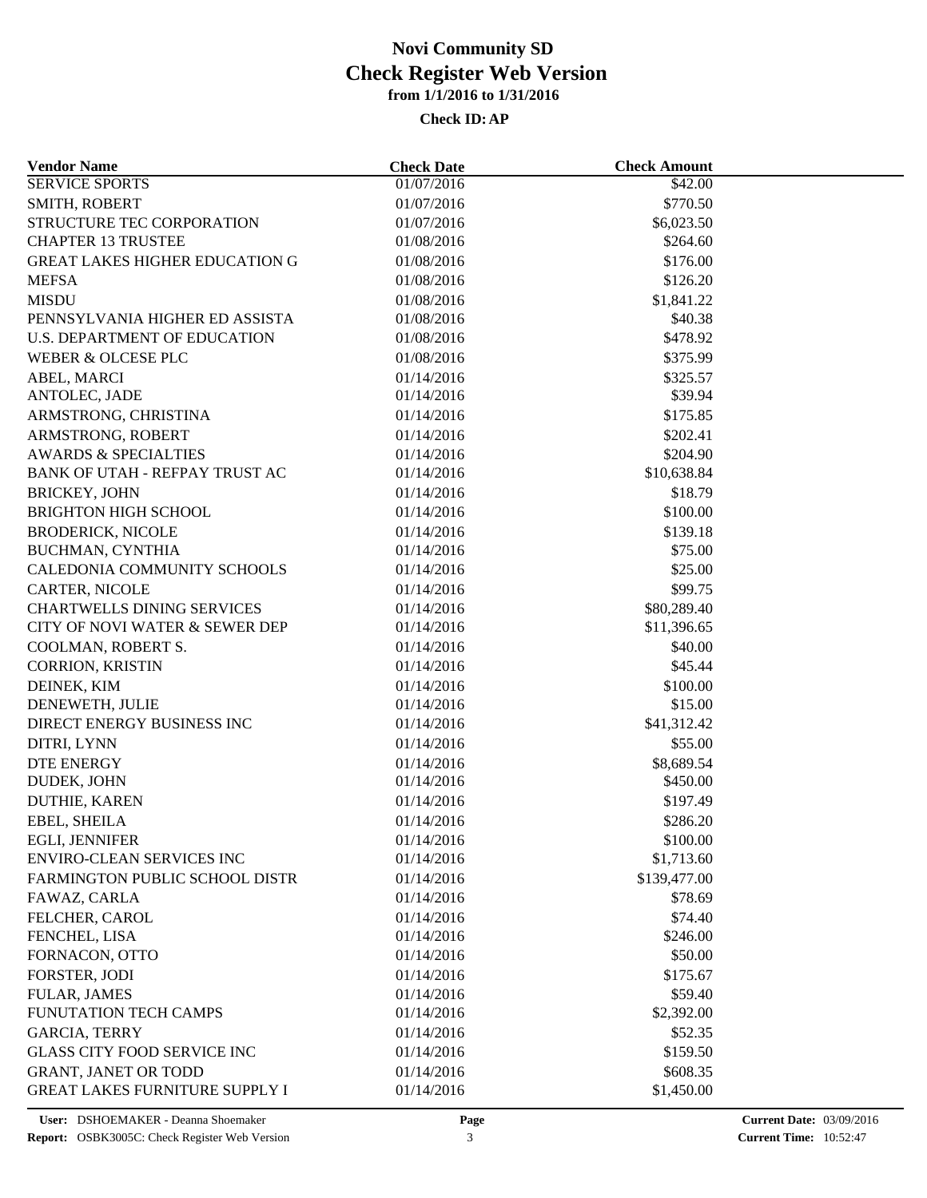| <b>Vendor Name</b>                    | <b>Check Date</b> | <b>Check Amount</b>    |  |
|---------------------------------------|-------------------|------------------------|--|
| <b>SERVICE SPORTS</b>                 | 01/07/2016        | \$42.00                |  |
| SMITH, ROBERT                         | 01/07/2016        | \$770.50               |  |
| STRUCTURE TEC CORPORATION             | 01/07/2016        | \$6,023.50             |  |
| <b>CHAPTER 13 TRUSTEE</b>             | 01/08/2016        | \$264.60               |  |
| <b>GREAT LAKES HIGHER EDUCATION G</b> | 01/08/2016        | \$176.00               |  |
| <b>MEFSA</b>                          | 01/08/2016        | \$126.20               |  |
| <b>MISDU</b>                          | 01/08/2016        | \$1,841.22             |  |
| PENNSYLVANIA HIGHER ED ASSISTA        | 01/08/2016        | \$40.38                |  |
| <b>U.S. DEPARTMENT OF EDUCATION</b>   | 01/08/2016        | \$478.92               |  |
| WEBER & OLCESE PLC                    | 01/08/2016        | \$375.99               |  |
| ABEL, MARCI                           | 01/14/2016        | \$325.57               |  |
| ANTOLEC, JADE                         | 01/14/2016        | \$39.94                |  |
| ARMSTRONG, CHRISTINA                  | 01/14/2016        | \$175.85               |  |
| ARMSTRONG, ROBERT                     | 01/14/2016        | \$202.41               |  |
| <b>AWARDS &amp; SPECIALTIES</b>       | 01/14/2016        | \$204.90               |  |
| BANK OF UTAH - REFPAY TRUST AC        | 01/14/2016        | \$10,638.84            |  |
| <b>BRICKEY, JOHN</b>                  | 01/14/2016        | \$18.79                |  |
| <b>BRIGHTON HIGH SCHOOL</b>           | 01/14/2016        | \$100.00               |  |
| <b>BRODERICK, NICOLE</b>              | 01/14/2016        | \$139.18               |  |
| BUCHMAN, CYNTHIA                      | 01/14/2016        | \$75.00                |  |
| CALEDONIA COMMUNITY SCHOOLS           | 01/14/2016        | \$25.00                |  |
| CARTER, NICOLE                        | 01/14/2016        | \$99.75                |  |
| <b>CHARTWELLS DINING SERVICES</b>     | 01/14/2016        | \$80,289.40            |  |
| CITY OF NOVI WATER & SEWER DEP        | 01/14/2016        | \$11,396.65            |  |
| COOLMAN, ROBERT S.                    | 01/14/2016        | \$40.00                |  |
| <b>CORRION, KRISTIN</b>               | 01/14/2016        | \$45.44                |  |
| DEINEK, KIM                           | 01/14/2016        | \$100.00               |  |
| DENEWETH, JULIE                       | 01/14/2016        | \$15.00                |  |
| DIRECT ENERGY BUSINESS INC            | 01/14/2016        | \$41,312.42            |  |
| DITRI, LYNN                           | 01/14/2016        | \$55.00                |  |
| <b>DTE ENERGY</b>                     | 01/14/2016        | \$8,689.54             |  |
| DUDEK, JOHN                           | 01/14/2016        | \$450.00               |  |
| <b>DUTHIE, KAREN</b>                  | 01/14/2016        | \$197.49               |  |
| EBEL, SHEILA                          | 01/14/2016        | \$286.20               |  |
| EGLI, JENNIFER                        | 01/14/2016        |                        |  |
| ENVIRO-CLEAN SERVICES INC             | 01/14/2016        | \$100.00<br>\$1,713.60 |  |
| FARMINGTON PUBLIC SCHOOL DISTR        | 01/14/2016        | \$139,477.00           |  |
|                                       |                   |                        |  |
| FAWAZ, CARLA                          | 01/14/2016        | \$78.69                |  |
| FELCHER, CAROL                        | 01/14/2016        | \$74.40                |  |
| FENCHEL, LISA                         | 01/14/2016        | \$246.00               |  |
| FORNACON, OTTO                        | 01/14/2016        | \$50.00                |  |
| FORSTER, JODI                         | 01/14/2016        | \$175.67               |  |
| <b>FULAR, JAMES</b>                   | 01/14/2016        | \$59.40                |  |
| FUNUTATION TECH CAMPS                 | 01/14/2016        | \$2,392.00             |  |
| <b>GARCIA, TERRY</b>                  | 01/14/2016        | \$52.35                |  |
| <b>GLASS CITY FOOD SERVICE INC</b>    | 01/14/2016        | \$159.50               |  |
| <b>GRANT, JANET OR TODD</b>           | 01/14/2016        | \$608.35               |  |
| <b>GREAT LAKES FURNITURE SUPPLY I</b> | 01/14/2016        | \$1,450.00             |  |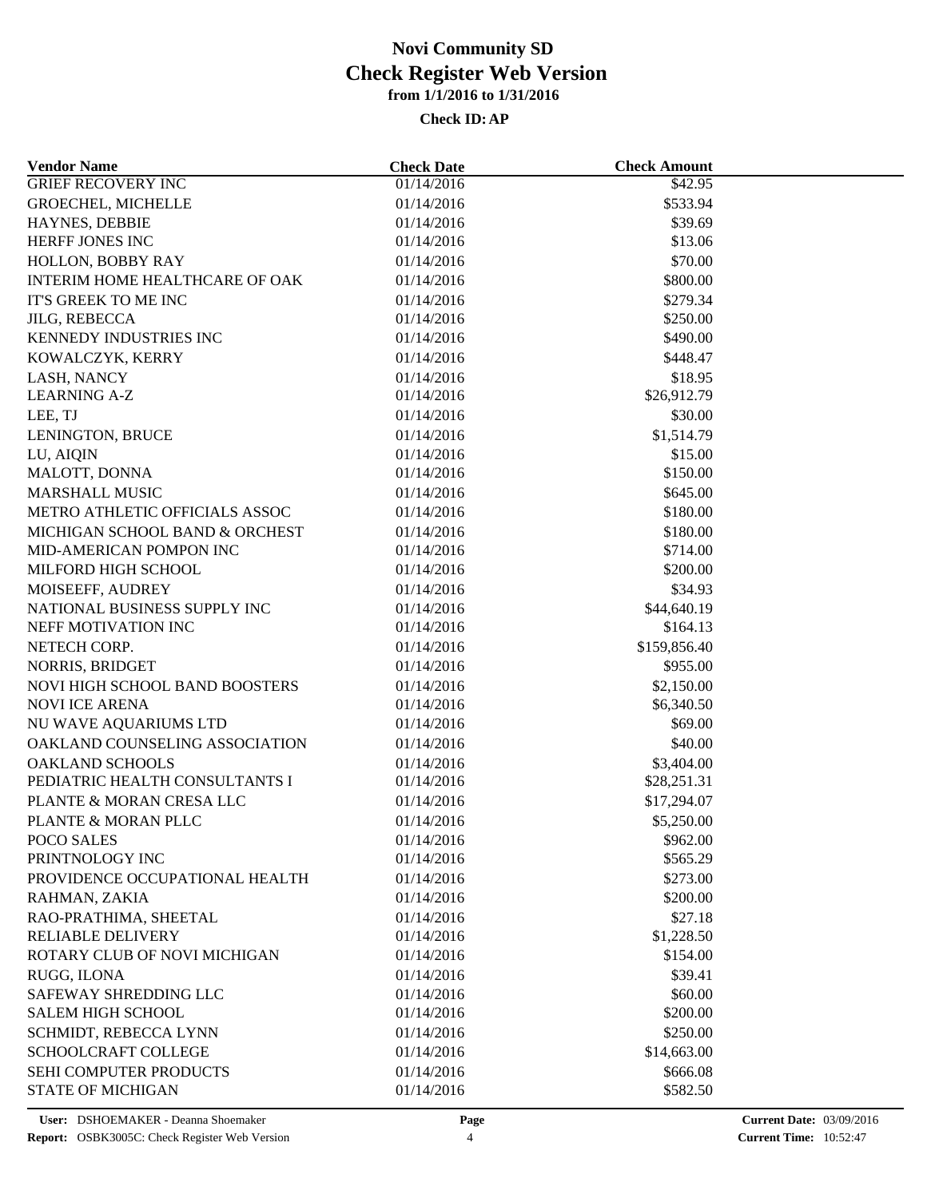| <b>Vendor Name</b>             | <b>Check Date</b> | <b>Check Amount</b> |  |
|--------------------------------|-------------------|---------------------|--|
| <b>GRIEF RECOVERY INC</b>      | 01/14/2016        | \$42.95             |  |
| <b>GROECHEL, MICHELLE</b>      | 01/14/2016        | \$533.94            |  |
| HAYNES, DEBBIE                 | 01/14/2016        | \$39.69             |  |
| HERFF JONES INC                | 01/14/2016        | \$13.06             |  |
| HOLLON, BOBBY RAY              | 01/14/2016        | \$70.00             |  |
| INTERIM HOME HEALTHCARE OF OAK | 01/14/2016        | \$800.00            |  |
| IT'S GREEK TO ME INC           | 01/14/2016        | \$279.34            |  |
| <b>JILG, REBECCA</b>           | 01/14/2016        | \$250.00            |  |
| KENNEDY INDUSTRIES INC         | 01/14/2016        | \$490.00            |  |
| KOWALCZYK, KERRY               | 01/14/2016        | \$448.47            |  |
| LASH, NANCY                    | 01/14/2016        | \$18.95             |  |
| <b>LEARNING A-Z</b>            | 01/14/2016        | \$26,912.79         |  |
| LEE, TJ                        | 01/14/2016        | \$30.00             |  |
| LENINGTON, BRUCE               | 01/14/2016        | \$1,514.79          |  |
| LU, AIQIN                      | 01/14/2016        | \$15.00             |  |
| MALOTT, DONNA                  | 01/14/2016        | \$150.00            |  |
| <b>MARSHALL MUSIC</b>          | 01/14/2016        | \$645.00            |  |
| METRO ATHLETIC OFFICIALS ASSOC | 01/14/2016        | \$180.00            |  |
| MICHIGAN SCHOOL BAND & ORCHEST | 01/14/2016        | \$180.00            |  |
| MID-AMERICAN POMPON INC        | 01/14/2016        | \$714.00            |  |
| MILFORD HIGH SCHOOL            | 01/14/2016        | \$200.00            |  |
| MOISEEFF, AUDREY               | 01/14/2016        | \$34.93             |  |
| NATIONAL BUSINESS SUPPLY INC   | 01/14/2016        | \$44,640.19         |  |
| NEFF MOTIVATION INC            | 01/14/2016        | \$164.13            |  |
|                                |                   |                     |  |
| NETECH CORP.                   | 01/14/2016        | \$159,856.40        |  |
| NORRIS, BRIDGET                | 01/14/2016        | \$955.00            |  |
| NOVI HIGH SCHOOL BAND BOOSTERS | 01/14/2016        | \$2,150.00          |  |
| <b>NOVI ICE ARENA</b>          | 01/14/2016        | \$6,340.50          |  |
| NU WAVE AQUARIUMS LTD          | 01/14/2016        | \$69.00             |  |
| OAKLAND COUNSELING ASSOCIATION | 01/14/2016        | \$40.00             |  |
| <b>OAKLAND SCHOOLS</b>         | 01/14/2016        | \$3,404.00          |  |
| PEDIATRIC HEALTH CONSULTANTS I | 01/14/2016        | \$28,251.31         |  |
| PLANTE & MORAN CRESA LLC       | 01/14/2016        | \$17,294.07         |  |
| PLANTE & MORAN PLLC            | 01/14/2016        | \$5,250.00          |  |
| POCO SALES                     | 01/14/2016        | \$962.00            |  |
| PRINTNOLOGY INC                | 01/14/2016        | \$565.29            |  |
| PROVIDENCE OCCUPATIONAL HEALTH | 01/14/2016        | \$273.00            |  |
| RAHMAN, ZAKIA                  | 01/14/2016        | \$200.00            |  |
| RAO-PRATHIMA, SHEETAL          | 01/14/2016        | \$27.18             |  |
| RELIABLE DELIVERY              | 01/14/2016        | \$1,228.50          |  |
| ROTARY CLUB OF NOVI MICHIGAN   | 01/14/2016        | \$154.00            |  |
| RUGG, ILONA                    | 01/14/2016        | \$39.41             |  |
| SAFEWAY SHREDDING LLC          | 01/14/2016        | \$60.00             |  |
| <b>SALEM HIGH SCHOOL</b>       | 01/14/2016        | \$200.00            |  |
| SCHMIDT, REBECCA LYNN          | 01/14/2016        | \$250.00            |  |
| <b>SCHOOLCRAFT COLLEGE</b>     | 01/14/2016        | \$14,663.00         |  |
| SEHI COMPUTER PRODUCTS         | 01/14/2016        | \$666.08            |  |
| <b>STATE OF MICHIGAN</b>       | 01/14/2016        | \$582.50            |  |
|                                |                   |                     |  |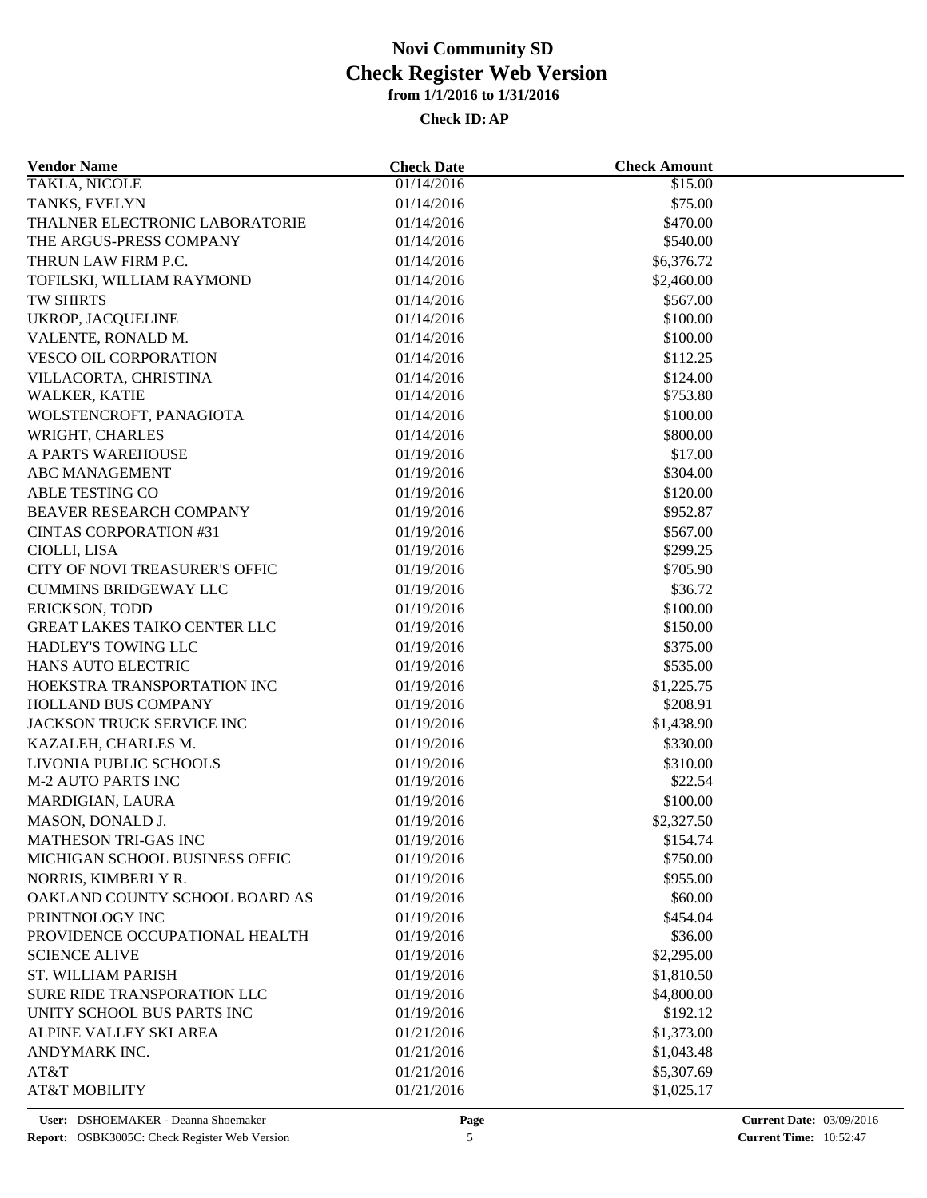| <b>Vendor Name</b>                                    | <b>Check Date</b>        | <b>Check Amount</b> |  |
|-------------------------------------------------------|--------------------------|---------------------|--|
| <b>TAKLA, NICOLE</b>                                  | 01/14/2016               | \$15.00             |  |
| TANKS, EVELYN                                         | 01/14/2016               | \$75.00             |  |
| THALNER ELECTRONIC LABORATORIE                        | 01/14/2016               | \$470.00            |  |
| THE ARGUS-PRESS COMPANY                               | 01/14/2016               | \$540.00            |  |
| THRUN LAW FIRM P.C.                                   | 01/14/2016               | \$6,376.72          |  |
| TOFILSKI, WILLIAM RAYMOND                             | 01/14/2016               | \$2,460.00          |  |
| TW SHIRTS                                             | 01/14/2016               | \$567.00            |  |
| UKROP, JACQUELINE                                     | 01/14/2016               | \$100.00            |  |
| VALENTE, RONALD M.                                    | 01/14/2016               | \$100.00            |  |
| VESCO OIL CORPORATION                                 | 01/14/2016               | \$112.25            |  |
| VILLACORTA, CHRISTINA                                 | 01/14/2016               | \$124.00            |  |
| WALKER, KATIE                                         | 01/14/2016               | \$753.80            |  |
| WOLSTENCROFT, PANAGIOTA                               | 01/14/2016               | \$100.00            |  |
| WRIGHT, CHARLES                                       | 01/14/2016               | \$800.00            |  |
| A PARTS WAREHOUSE                                     | 01/19/2016               | \$17.00             |  |
| <b>ABC MANAGEMENT</b>                                 | 01/19/2016               | \$304.00            |  |
| ABLE TESTING CO                                       | 01/19/2016               | \$120.00            |  |
| BEAVER RESEARCH COMPANY                               | 01/19/2016               | \$952.87            |  |
| <b>CINTAS CORPORATION #31</b>                         | 01/19/2016               | \$567.00            |  |
| CIOLLI, LISA                                          | 01/19/2016               | \$299.25            |  |
| <b>CITY OF NOVI TREASURER'S OFFIC</b>                 | 01/19/2016               | \$705.90            |  |
| <b>CUMMINS BRIDGEWAY LLC</b>                          | 01/19/2016               | \$36.72             |  |
|                                                       |                          | \$100.00            |  |
| ERICKSON, TODD<br><b>GREAT LAKES TAIKO CENTER LLC</b> | 01/19/2016<br>01/19/2016 | \$150.00            |  |
| HADLEY'S TOWING LLC                                   |                          | \$375.00            |  |
|                                                       | 01/19/2016               |                     |  |
| HANS AUTO ELECTRIC                                    | 01/19/2016               | \$535.00            |  |
| HOEKSTRA TRANSPORTATION INC                           | 01/19/2016               | \$1,225.75          |  |
| HOLLAND BUS COMPANY                                   | 01/19/2016               | \$208.91            |  |
| JACKSON TRUCK SERVICE INC                             | 01/19/2016               | \$1,438.90          |  |
| KAZALEH, CHARLES M.                                   | 01/19/2016               | \$330.00            |  |
| LIVONIA PUBLIC SCHOOLS                                | 01/19/2016               | \$310.00            |  |
| <b>M-2 AUTO PARTS INC</b>                             | 01/19/2016               | \$22.54             |  |
| MARDIGIAN, LAURA                                      | 01/19/2016               | \$100.00            |  |
| MASON, DONALD J.                                      | 01/19/2016               | \$2,327.50          |  |
| MATHESON TRI-GAS INC                                  | 01/19/2016               | \$154.74            |  |
| MICHIGAN SCHOOL BUSINESS OFFIC                        | 01/19/2016               | \$750.00            |  |
| NORRIS, KIMBERLY R.                                   | 01/19/2016               | \$955.00            |  |
| OAKLAND COUNTY SCHOOL BOARD AS                        | 01/19/2016               | \$60.00             |  |
| PRINTNOLOGY INC                                       | 01/19/2016               | \$454.04            |  |
| PROVIDENCE OCCUPATIONAL HEALTH                        | 01/19/2016               | \$36.00             |  |
| <b>SCIENCE ALIVE</b>                                  | 01/19/2016               | \$2,295.00          |  |
| <b>ST. WILLIAM PARISH</b>                             | 01/19/2016               | \$1,810.50          |  |
| SURE RIDE TRANSPORATION LLC                           | 01/19/2016               | \$4,800.00          |  |
| UNITY SCHOOL BUS PARTS INC                            | 01/19/2016               | \$192.12            |  |
| ALPINE VALLEY SKI AREA                                | 01/21/2016               | \$1,373.00          |  |
| ANDYMARK INC.                                         | 01/21/2016               | \$1,043.48          |  |
| AT&T                                                  | 01/21/2016               | \$5,307.69          |  |
| <b>AT&amp;T MOBILITY</b>                              | 01/21/2016               | \$1,025.17          |  |
|                                                       |                          |                     |  |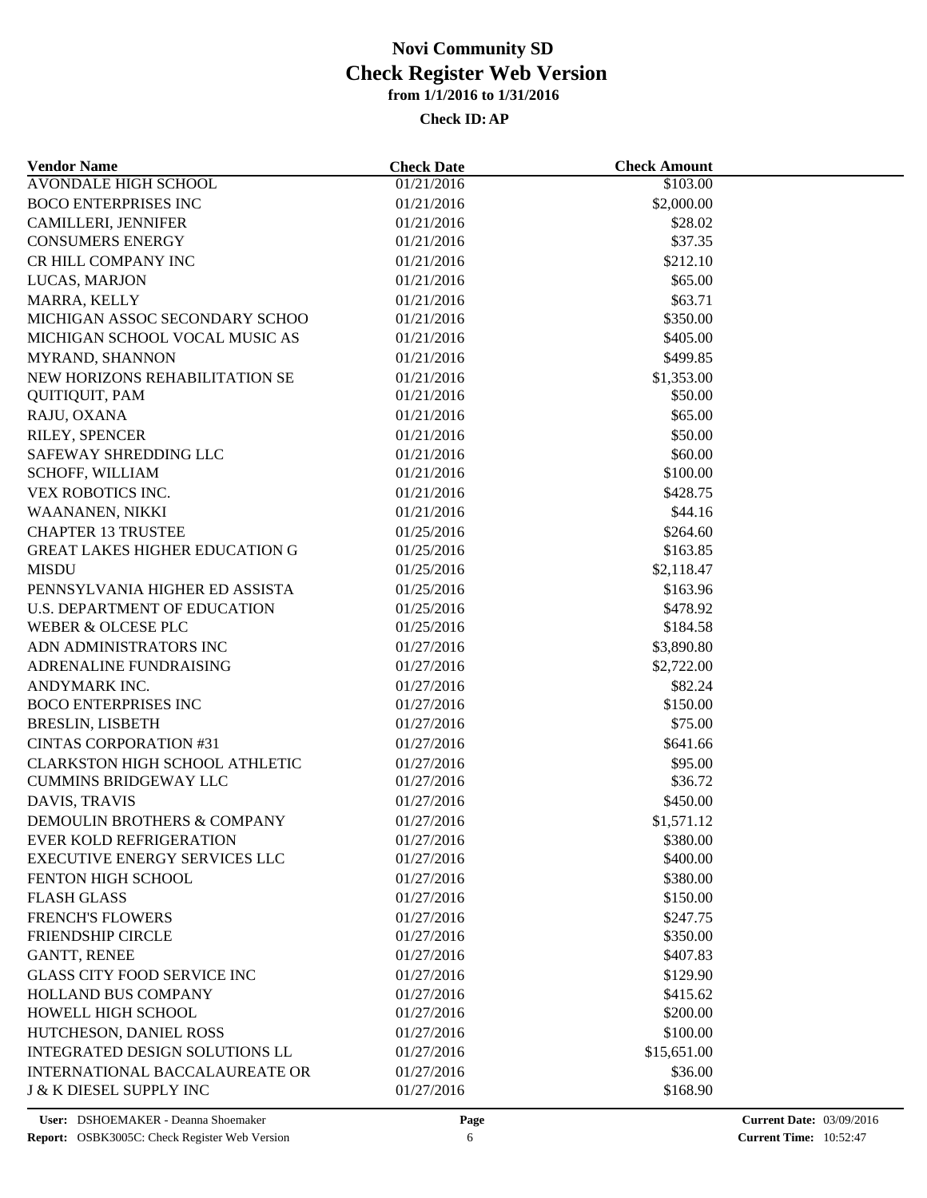| <b>Vendor Name</b>                    | <b>Check Date</b> | <b>Check Amount</b> |  |
|---------------------------------------|-------------------|---------------------|--|
| <b>AVONDALE HIGH SCHOOL</b>           | 01/21/2016        | \$103.00            |  |
| <b>BOCO ENTERPRISES INC</b>           | 01/21/2016        | \$2,000.00          |  |
| CAMILLERI, JENNIFER                   | 01/21/2016        | \$28.02             |  |
| <b>CONSUMERS ENERGY</b>               | 01/21/2016        | \$37.35             |  |
| CR HILL COMPANY INC                   | 01/21/2016        | \$212.10            |  |
| LUCAS, MARJON                         | 01/21/2016        | \$65.00             |  |
| MARRA, KELLY                          | 01/21/2016        | \$63.71             |  |
| MICHIGAN ASSOC SECONDARY SCHOO        | 01/21/2016        | \$350.00            |  |
| MICHIGAN SCHOOL VOCAL MUSIC AS        | 01/21/2016        | \$405.00            |  |
| MYRAND, SHANNON                       | 01/21/2016        | \$499.85            |  |
| NEW HORIZONS REHABILITATION SE        | 01/21/2016        | \$1,353.00          |  |
| <b>QUITIQUIT, PAM</b>                 | 01/21/2016        | \$50.00             |  |
| RAJU, OXANA                           | 01/21/2016        | \$65.00             |  |
| RILEY, SPENCER                        | 01/21/2016        | \$50.00             |  |
| SAFEWAY SHREDDING LLC                 | 01/21/2016        | \$60.00             |  |
| SCHOFF, WILLIAM                       | 01/21/2016        | \$100.00            |  |
| VEX ROBOTICS INC.                     | 01/21/2016        | \$428.75            |  |
| WAANANEN, NIKKI                       | 01/21/2016        | \$44.16             |  |
| <b>CHAPTER 13 TRUSTEE</b>             | 01/25/2016        | \$264.60            |  |
| GREAT LAKES HIGHER EDUCATION G        | 01/25/2016        | \$163.85            |  |
| <b>MISDU</b>                          | 01/25/2016        | \$2,118.47          |  |
| PENNSYLVANIA HIGHER ED ASSISTA        | 01/25/2016        | \$163.96            |  |
| <b>U.S. DEPARTMENT OF EDUCATION</b>   | 01/25/2016        | \$478.92            |  |
| WEBER & OLCESE PLC                    | 01/25/2016        | \$184.58            |  |
|                                       |                   |                     |  |
| ADN ADMINISTRATORS INC                | 01/27/2016        | \$3,890.80          |  |
| ADRENALINE FUNDRAISING                | 01/27/2016        | \$2,722.00          |  |
| ANDYMARK INC.                         | 01/27/2016        | \$82.24             |  |
| <b>BOCO ENTERPRISES INC</b>           | 01/27/2016        | \$150.00            |  |
| <b>BRESLIN, LISBETH</b>               | 01/27/2016        | \$75.00             |  |
| <b>CINTAS CORPORATION #31</b>         | 01/27/2016        | \$641.66            |  |
| <b>CLARKSTON HIGH SCHOOL ATHLETIC</b> | 01/27/2016        | \$95.00             |  |
| <b>CUMMINS BRIDGEWAY LLC</b>          | 01/27/2016        | \$36.72             |  |
| DAVIS, TRAVIS                         | 01/27/2016        | \$450.00            |  |
| DEMOULIN BROTHERS & COMPANY           | 01/27/2016        | \$1,571.12          |  |
| EVER KOLD REFRIGERATION               | 01/27/2016        | \$380.00            |  |
| <b>EXECUTIVE ENERGY SERVICES LLC</b>  | 01/27/2016        | \$400.00            |  |
| <b>FENTON HIGH SCHOOL</b>             | 01/27/2016        | \$380.00            |  |
| <b>FLASH GLASS</b>                    | 01/27/2016        | \$150.00            |  |
| <b>FRENCH'S FLOWERS</b>               | 01/27/2016        | \$247.75            |  |
| FRIENDSHIP CIRCLE                     | 01/27/2016        | \$350.00            |  |
| <b>GANTT, RENEE</b>                   | 01/27/2016        | \$407.83            |  |
| <b>GLASS CITY FOOD SERVICE INC</b>    | 01/27/2016        | \$129.90            |  |
| <b>HOLLAND BUS COMPANY</b>            | 01/27/2016        | \$415.62            |  |
| HOWELL HIGH SCHOOL                    | 01/27/2016        | \$200.00            |  |
| HUTCHESON, DANIEL ROSS                | 01/27/2016        | \$100.00            |  |
| INTEGRATED DESIGN SOLUTIONS LL        | 01/27/2016        | \$15,651.00         |  |
| <b>INTERNATIONAL BACCALAUREATE OR</b> | 01/27/2016        | \$36.00             |  |
| <b>J &amp; K DIESEL SUPPLY INC</b>    | 01/27/2016        | \$168.90            |  |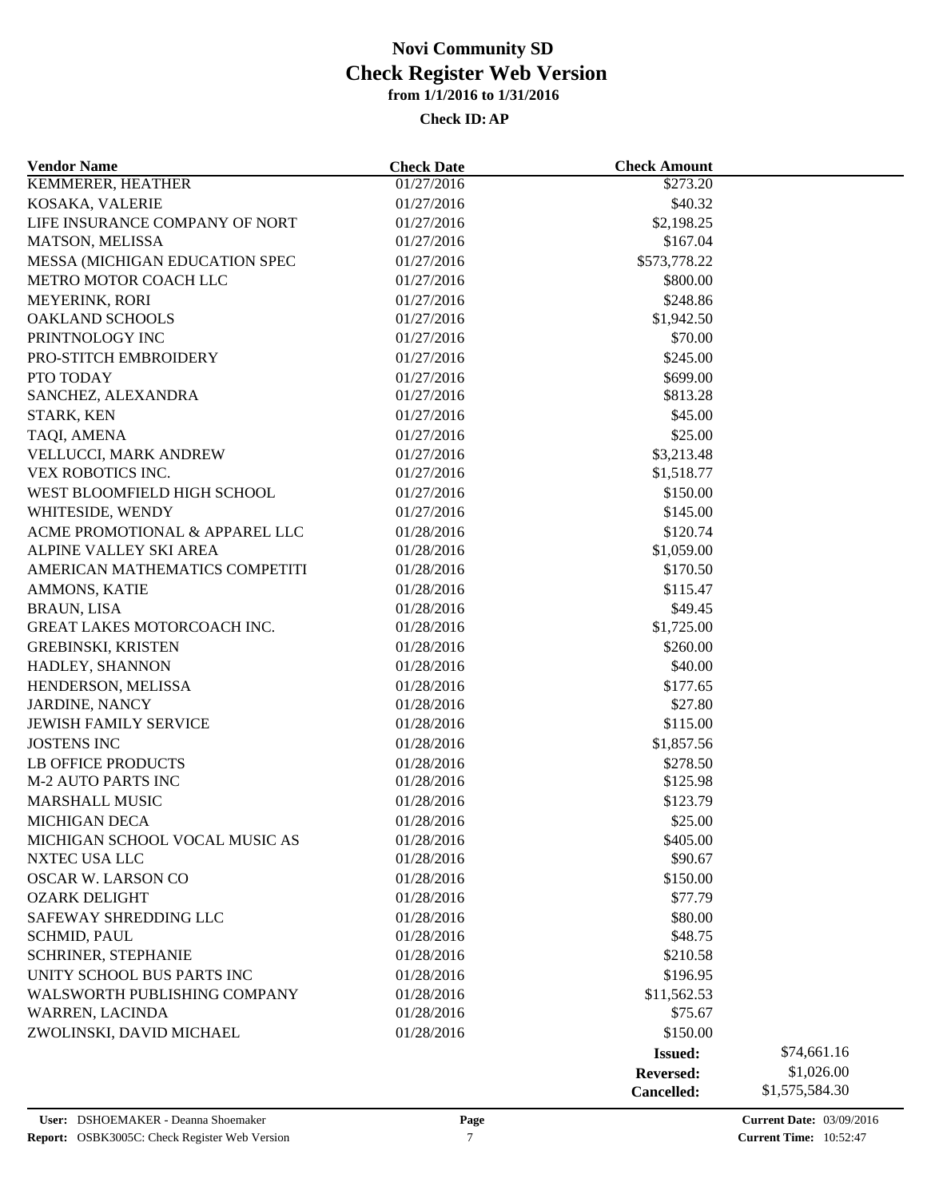| <b>Vendor Name</b>                           | <b>Check Date</b>        | <b>Check Amount</b> |                |
|----------------------------------------------|--------------------------|---------------------|----------------|
| <b>KEMMERER, HEATHER</b>                     | 01/27/2016               | \$273.20            |                |
| KOSAKA, VALERIE                              | 01/27/2016               | \$40.32             |                |
| LIFE INSURANCE COMPANY OF NORT               | 01/27/2016               | \$2,198.25          |                |
| MATSON, MELISSA                              | 01/27/2016               | \$167.04            |                |
| MESSA (MICHIGAN EDUCATION SPEC               | 01/27/2016               | \$573,778.22        |                |
| METRO MOTOR COACH LLC                        | 01/27/2016               | \$800.00            |                |
| MEYERINK, RORI                               | 01/27/2016               | \$248.86            |                |
| <b>OAKLAND SCHOOLS</b>                       | 01/27/2016               | \$1,942.50          |                |
| PRINTNOLOGY INC                              | 01/27/2016               | \$70.00             |                |
| PRO-STITCH EMBROIDERY                        | 01/27/2016               | \$245.00            |                |
| PTO TODAY                                    | 01/27/2016               | \$699.00            |                |
| SANCHEZ, ALEXANDRA                           | 01/27/2016               | \$813.28            |                |
| STARK, KEN                                   | 01/27/2016               | \$45.00             |                |
| TAQI, AMENA                                  | 01/27/2016               | \$25.00             |                |
| VELLUCCI, MARK ANDREW                        | 01/27/2016               | \$3,213.48          |                |
| VEX ROBOTICS INC.                            | 01/27/2016               | \$1,518.77          |                |
| WEST BLOOMFIELD HIGH SCHOOL                  | 01/27/2016               | \$150.00            |                |
| WHITESIDE, WENDY                             | 01/27/2016               | \$145.00            |                |
| ACME PROMOTIONAL & APPAREL LLC               | 01/28/2016               | \$120.74            |                |
| ALPINE VALLEY SKI AREA                       | 01/28/2016               | \$1,059.00          |                |
| AMERICAN MATHEMATICS COMPETITI               | 01/28/2016               | \$170.50            |                |
| AMMONS, KATIE                                | 01/28/2016               | \$115.47            |                |
| <b>BRAUN, LISA</b>                           | 01/28/2016               | \$49.45             |                |
| GREAT LAKES MOTORCOACH INC.                  | 01/28/2016               | \$1,725.00          |                |
| <b>GREBINSKI, KRISTEN</b>                    | 01/28/2016               | \$260.00            |                |
| HADLEY, SHANNON                              | 01/28/2016               | \$40.00             |                |
| HENDERSON, MELISSA                           | 01/28/2016               | \$177.65            |                |
| <b>JARDINE, NANCY</b>                        | 01/28/2016               | \$27.80             |                |
| <b>JEWISH FAMILY SERVICE</b>                 | 01/28/2016               | \$115.00            |                |
| <b>JOSTENS INC</b>                           | 01/28/2016               | \$1,857.56          |                |
| <b>LB OFFICE PRODUCTS</b>                    | 01/28/2016               | \$278.50            |                |
| <b>M-2 AUTO PARTS INC</b>                    | 01/28/2016               | \$125.98            |                |
| <b>MARSHALL MUSIC</b>                        | 01/28/2016               | \$123.79            |                |
| <b>MICHIGAN DECA</b>                         | 01/28/2016               | \$25.00             |                |
| MICHIGAN SCHOOL VOCAL MUSIC AS               | 01/28/2016               | \$405.00            |                |
| NXTEC USA LLC                                | 01/28/2016               | \$90.67             |                |
| OSCAR W. LARSON CO                           | 01/28/2016               | \$150.00            |                |
| <b>OZARK DELIGHT</b>                         |                          |                     |                |
|                                              | 01/28/2016               | \$77.79             |                |
| SAFEWAY SHREDDING LLC<br><b>SCHMID, PAUL</b> | 01/28/2016<br>01/28/2016 | \$80.00<br>\$48.75  |                |
|                                              |                          | \$210.58            |                |
| SCHRINER, STEPHANIE                          | 01/28/2016               |                     |                |
| UNITY SCHOOL BUS PARTS INC                   | 01/28/2016               | \$196.95            |                |
| WALSWORTH PUBLISHING COMPANY                 | 01/28/2016               | \$11,562.53         |                |
| WARREN, LACINDA                              | 01/28/2016               | \$75.67             |                |
| ZWOLINSKI, DAVID MICHAEL                     | 01/28/2016               | \$150.00            |                |
|                                              |                          | <b>Issued:</b>      | \$74,661.16    |
|                                              |                          | <b>Reversed:</b>    | \$1,026.00     |
|                                              |                          | Cancelled:          | \$1,575,584.30 |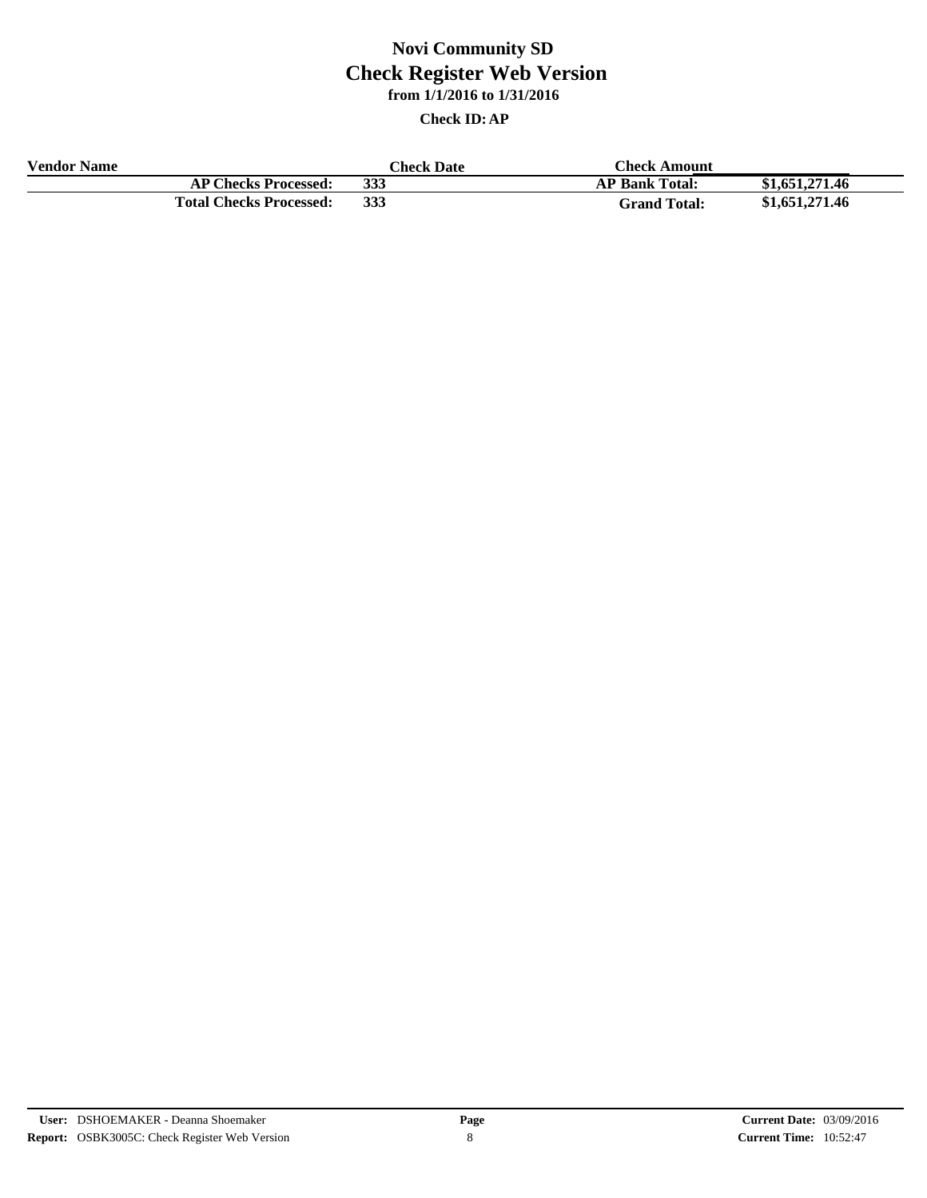| <b>Vendor Name</b> |                                | <b>Check Date</b> | Check Amount          |                |
|--------------------|--------------------------------|-------------------|-----------------------|----------------|
|                    | <b>AP Checks Processed:</b>    | 333               | <b>AP Bank Total:</b> | \$1,651,271.46 |
|                    | <b>Total Checks Processed:</b> | 333               | <b>Grand Total:</b>   | \$1,651,271.46 |